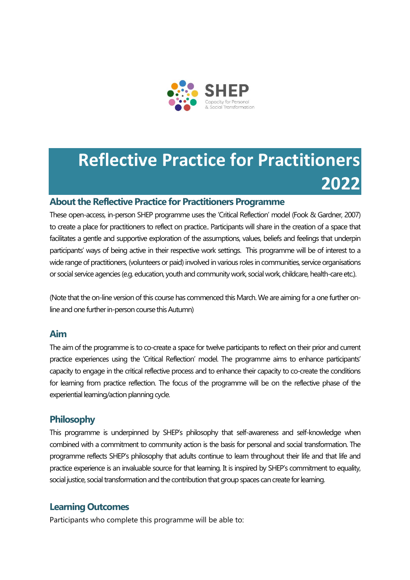

# **Reflective Practice for Practitioners 2022**

#### **About the Reflective Practice for Practitioners Programme**

These open-access, in-person SHEP programme uses the 'Critical Reflection' model (Fook & Gardner, 2007) to create a place for practitioners to reflect on practice.. Participants will share in the creation of a space that facilitates a gentle and supportive exploration of the assumptions, values, beliefs and feelings that underpin participants' ways of being active in their respective work settings. This programme will be of interest to a wide range of practitioners, (volunteers or paid) involved in various roles in communities, service organisations or social service agencies (e.g. education, youth and community work, social work, childcare, health-care etc.).

(Note that the on-line version of this course has commenced this March. We are aiming for a one further online and one further in-person course this Autumn)

#### **Aim**

The aim of the programme is to co-create a space for twelve participants to reflect on their prior and current practice experiences using the 'Critical Reflection' model. The programme aims to enhance participants' capacity to engage in the critical reflective process and to enhance their capacity to co-create the conditions for learning from practice reflection. The focus of the programme will be on the reflective phase of the experiential learning/action planning cycle.

#### **Philosophy**

This programme is underpinned by SHEP's philosophy that self-awareness and self-knowledge when combined with a commitment to community action is the basis for personal and social transformation. The programme reflects SHEP's philosophy that adults continue to learn throughout their life and that life and practice experience is an invaluable source for that learning. It is inspired by SHEP's commitment to equality, social justice, social transformation and the contribution that group spaces can create for learning.

#### **Learning Outcomes**

Participants who complete this programme will be able to: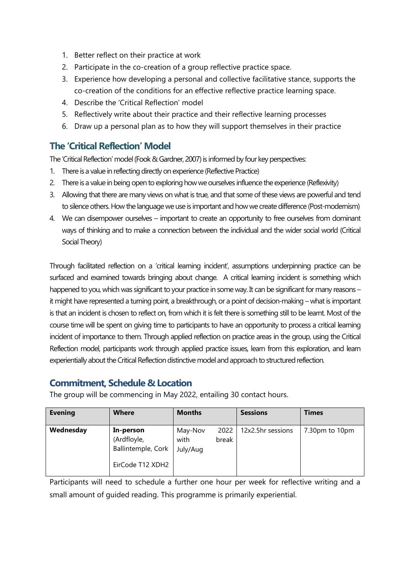- 1. Better reflect on their practice at work
- 2. Participate in the co-creation of a group reflective practice space.
- 3. Experience how developing a personal and collective facilitative stance, supports the co-creation of the conditions for an effective reflective practice learning space.
- 4. Describe the 'Critical Reflection' model
- 5. Reflectively write about their practice and their reflective learning processes
- 6. Draw up a personal plan as to how they will support themselves in their practice

### **The 'Critical Reflection' Model**

The 'Critical Reflection' model (Fook & Gardner, 2007) is informed by four key perspectives:

- 1. There is a value in reflecting directly on experience (Reflective Practice)
- 2. There is a value in being open to exploring how we ourselves influence the experience (Reflexivity)
- 3. Allowing that there are many views on what is true, and that some of these views are powerful and tend to silence others. How the language we use is important and how we create difference (Post-modernism)
- 4. We can disempower ourselves important to create an opportunity to free ourselves from dominant ways of thinking and to make a connection between the individual and the wider social world (Critical Social Theory)

Through facilitated reflection on a 'critical learning incident', assumptions underpinning practice can be surfaced and examined towards bringing about change. A critical learning incident is something which happened to you, which was significant to your practice in some way. It can be significant for many reasons – it might have represented a turning point, a breakthrough, or a point of decision-making – what is important is that an incident is chosen to reflect on, from which it is felt there is something still to be learnt. Most of the course time will be spent on giving time to participants to have an opportunity to process a critical learning incident of importance to them. Through applied reflection on practice areas in the group, using the Critical Reflection model, participants work through applied practice issues, learn from this exploration, and learn experientially about the Critical Reflection distinctive model and approach to structured reflection.

## **Commitment, Schedule & Location**

The group will be commencing in May 2022, entailing 30 contact hours.

| <b>Evening</b> | <b>Where</b>                                                       | <b>Months</b>               |               | <b>Sessions</b>   | <b>Times</b>   |
|----------------|--------------------------------------------------------------------|-----------------------------|---------------|-------------------|----------------|
| Wednesday      | In-person<br>(Ardfloyle,<br>Ballintemple, Cork<br>EirCode T12 XDH2 | May-Nov<br>with<br>July/Aug | 2022<br>break | 12x2.5hr sessions | 7.30pm to 10pm |

Participants will need to schedule a further one hour per week for reflective writing and a small amount of guided reading. This programme is primarily experiential.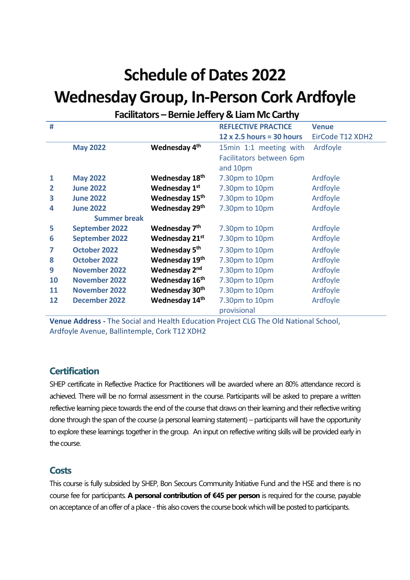## **Schedule of Dates 2022**

## **Wednesday Group, In-Person Cork Ardfoyle**

## **Facilitators –Bernie Jeffery & Liam Mc Carthy**

| #  |                       |                            | <b>REFLECTIVE PRACTICE</b>       | <b>Venue</b>     |
|----|-----------------------|----------------------------|----------------------------------|------------------|
|    |                       |                            | $12 \times 2.5$ hours = 30 hours | EirCode T12 XDH2 |
|    | <b>May 2022</b>       | Wednesday 4 <sup>th</sup>  | 15min 1:1 meeting with           | Ardfoyle         |
|    |                       |                            | Facilitators between 6pm         |                  |
|    |                       |                            | and 10pm                         |                  |
| 1  | <b>May 2022</b>       | Wednesday 18th             | 7.30pm to 10pm                   | Ardfoyle         |
| 2  | <b>June 2022</b>      | Wednesday 1 <sup>st</sup>  | 7.30pm to 10pm                   | Ardfoyle         |
| 3  | <b>June 2022</b>      | Wednesday 15 <sup>th</sup> | 7.30pm to 10pm                   | Ardfoyle         |
| 4  | <b>June 2022</b>      | Wednesday 29 <sup>th</sup> | 7.30pm to 10pm                   | Ardfoyle         |
|    | <b>Summer break</b>   |                            |                                  |                  |
| 5  | <b>September 2022</b> | Wednesday 7 <sup>th</sup>  | 7.30pm to 10pm                   | Ardfoyle         |
| 6  | <b>September 2022</b> | Wednesday 21st             | 7.30pm to 10pm                   | Ardfoyle         |
|    | <b>October 2022</b>   | Wednesday 5 <sup>th</sup>  | 7.30pm to 10pm                   | Ardfoyle         |
| 8  | <b>October 2022</b>   | Wednesday 19th             | 7.30pm to 10pm                   | Ardfoyle         |
| 9  | <b>November 2022</b>  | Wednesday 2 <sup>nd</sup>  | 7.30pm to 10pm                   | Ardfoyle         |
| 10 | <b>November 2022</b>  | Wednesday 16 <sup>th</sup> | 7.30pm to 10pm                   | Ardfoyle         |
| 11 | <b>November 2022</b>  | Wednesday 30 <sup>th</sup> | 7.30pm to 10pm                   | Ardfoyle         |
| 12 | December 2022         | Wednesday 14th             | 7.30pm to 10pm                   | Ardfoyle         |
|    |                       |                            | provisional                      |                  |

**Venue Address -** The Social and Health Education Project CLG The Old National School, Ardfoyle Avenue, Ballintemple, Cork T12 XDH2

#### **Certification**

SHEP certificate in Reflective Practice for Practitioners will be awarded where an 80% attendance record is achieved. There will be no formal assessment in the course. Participants will be asked to prepare a written reflective learning piece towards the end of the course that draws on their learning and their reflective writing done through the span of the course (a personal learning statement) – participants will have the opportunity to explore these learnings together in the group. An input on reflective writing skills will be provided early in the course.

#### **Costs**

This course is fully subsided by SHEP, Bon Secours Community Initiative Fund and the HSE and there is no course fee for participants. **A personal contribution of €45 per person** is required for the course, payable on acceptance of an offer of a place - this also covers the course bookwhich will be posted to participants.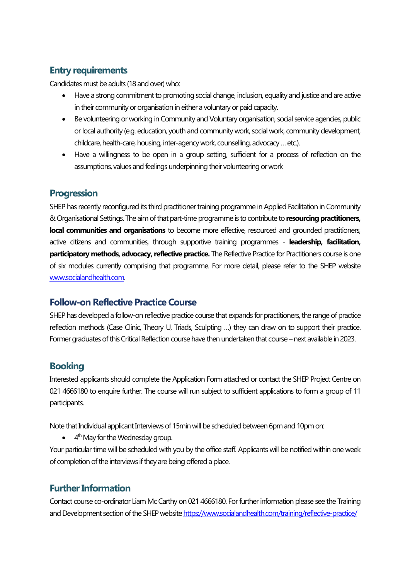## **Entry requirements**

Candidates must be adults (18 and over) who:

- Have a strong commitment to promoting social change, inclusion, equality and justice and are active in their community or organisation in either a voluntary or paid capacity.
- Be volunteering or working in Community and Voluntary organisation, social service agencies, public or local authority (e.g. education, youth and community work, social work, community development, childcare, health-care, housing, inter-agency work, counselling, advocacy …etc.).
- Have a willingness to be open in a group setting, sufficient for a process of reflection on the assumptions, values and feelings underpinning their volunteering or work

### **Progression**

SHEP has recently reconfigured its third practitioner training programme in Applied Facilitation in Community & Organisational Settings. The aim of that part-time programme is to contribute to **resourcing practitioners, local communities and organisations** to become more effective, resourced and grounded practitioners, active citizens and communities, through supportive training programmes - **leadership, facilitation, participatory methods, advocacy, reflective practice.** The Reflective Practice for Practitioners course is one of six modules currently comprising that programme. For more detail, please refer to the SHEP website [www.socialandhealth.com.](http://www.socialandhealth.com/) 

#### **Follow-on Reflective Practice Course**

SHEP has developed a follow-on reflective practice course that expands for practitioners, the range of practice reflection methods (Case Clinic, Theory U, Triads, Sculpting …) they can draw on to support their practice. Former graduates of this Critical Reflection course have then undertaken that course – next available in 2023.

## **Booking**

Interested applicants should complete the Application Form attached or contact the SHEP Project Centre on 021 4666180 to enquire further. The course will run subject to sufficient applications to form a group of 11 participants.

Note that Individual applicant Interviews of 15min will be scheduled between 6pm and 10pm on:

 $\bullet$  4<sup>th</sup> May for the Wednesday group.

Your particular time will be scheduled with you by the office staff. Applicants will be notified within one week of completion of the interviews if they are being offered a place.

## **Further Information**

Contact course co-ordinator Liam Mc Carthy on 021 4666180. For further information please see the Training and Development section of the SHEP websit[e https://www.socialandhealth.com/training/reflective-practice/](https://www.socialandhealth.com/training/reflective-practice/)